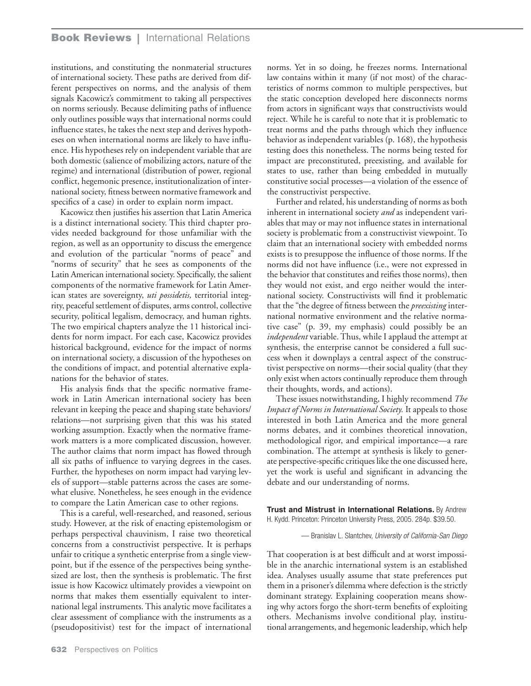## **Book Reviews |** International Relations

institutions, and constituting the nonmaterial structures of international society. These paths are derived from different perspectives on norms, and the analysis of them signals Kacowicz's commitment to taking all perspectives on norms seriously. Because delimiting paths of influence only outlines possible ways that international norms could influence states, he takes the next step and derives hypotheses on when international norms are likely to have influence. His hypotheses rely on independent variable that are both domestic (salience of mobilizing actors, nature of the regime) and international (distribution of power, regional conflict, hegemonic presence, institutionalization of international society, fitness between normative framework and specifics of a case) in order to explain norm impact.

Kacowicz then justifies his assertion that Latin America is a distinct international society. This third chapter provides needed background for those unfamiliar with the region, as well as an opportunity to discuss the emergence and evolution of the particular "norms of peace" and "norms of security" that he sees as components of the Latin American international society. Specifically, the salient components of the normative framework for Latin American states are sovereignty, *uti possidetis,* territorial integrity, peaceful settlement of disputes, arms control, collective security, political legalism, democracy, and human rights. The two empirical chapters analyze the 11 historical incidents for norm impact. For each case, Kacowicz provides historical background, evidence for the impact of norms on international society, a discussion of the hypotheses on the conditions of impact, and potential alternative explanations for the behavior of states.

His analysis finds that the specific normative framework in Latin American international society has been relevant in keeping the peace and shaping state behaviors/ relations—not surprising given that this was his stated working assumption. Exactly when the normative framework matters is a more complicated discussion, however. The author claims that norm impact has flowed through all six paths of influence to varying degrees in the cases. Further, the hypotheses on norm impact had varying levels of support—stable patterns across the cases are somewhat elusive. Nonetheless, he sees enough in the evidence to compare the Latin American case to other regions.

This is a careful, well-researched, and reasoned, serious study. However, at the risk of enacting epistemologism or perhaps perspectival chauvinism, I raise two theoretical concerns from a constructivist perspective. It is perhaps unfair to critique a synthetic enterprise from a single viewpoint, but if the essence of the perspectives being synthesized are lost, then the synthesis is problematic. The first issue is how Kacowicz ultimately provides a viewpoint on norms that makes them essentially equivalent to international legal instruments. This analytic move facilitates a clear assessment of compliance with the instruments as a (pseudopositivist) test for the impact of international norms. Yet in so doing, he freezes norms. International law contains within it many (if not most) of the characteristics of norms common to multiple perspectives, but the static conception developed here disconnects norms from actors in significant ways that constructivists would reject. While he is careful to note that it is problematic to treat norms and the paths through which they influence behavior as independent variables (p. 168), the hypothesis testing does this nonetheless. The norms being tested for impact are preconstituted, preexisting, and available for states to use, rather than being embedded in mutually constitutive social processes—a violation of the essence of the constructivist perspective.

Further and related, his understanding of norms as both inherent in international society *and* as independent variables that may or may not influence states in international society is problematic from a constructivist viewpoint. To claim that an international society with embedded norms exists is to presuppose the influence of those norms. If the norms did not have influence (i.e., were not expressed in the behavior that constitutes and reifies those norms), then they would not exist, and ergo neither would the international society. Constructivists will find it problematic that the "the degree of fitness between the *preexisting* international normative environment and the relative normative case" (p. 39, my emphasis) could possibly be an *independent* variable. Thus, while I applaud the attempt at synthesis, the enterprise cannot be considered a full success when it downplays a central aspect of the constructivist perspective on norms—their social quality (that they only exist when actors continually reproduce them through their thoughts, words, and actions).

These issues notwithstanding, I highly recommend *The Impact of Norms in International Society.* It appeals to those interested in both Latin America and the more general norms debates, and it combines theoretical innovation, methodological rigor, and empirical importance—a rare combination. The attempt at synthesis is likely to generate perspective-specific critiques like the one discussed here, yet the work is useful and significant in advancing the debate and our understanding of norms.

**Trust and Mistrust in International Relations.** By Andrew H. Kydd. Princeton: Princeton University Press, 2005. 284p. \$39.50.

— Branislav L. Slantchev, *University of California-San Diego*

That cooperation is at best difficult and at worst impossible in the anarchic international system is an established idea. Analyses usually assume that state preferences put them in a prisoner's dilemma where defection is the strictly dominant strategy. Explaining cooperation means showing why actors forgo the short-term benefits of exploiting others. Mechanisms involve conditional play, institutional arrangements, and hegemonic leadership, which help